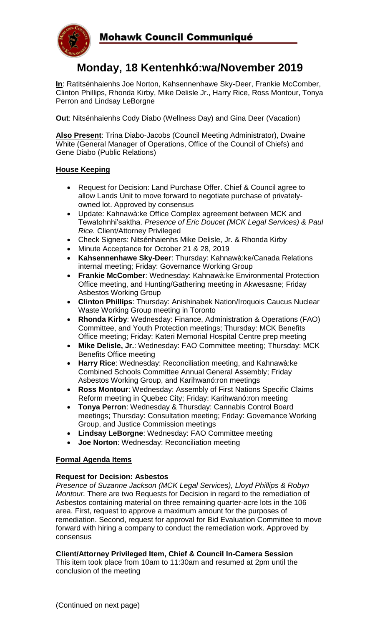

# **Monday, 18 Kentenhkó:wa/November 2019**

**In**: Ratitsénhaienhs Joe Norton, Kahsennenhawe Sky-Deer, Frankie McComber, Clinton Phillips, Rhonda Kirby, Mike Delisle Jr., Harry Rice, Ross Montour, Tonya Perron and Lindsay LeBorgne

**Out**: Nitsénhaienhs Cody Diabo (Wellness Day) and Gina Deer (Vacation)

**Also Present**: Trina Diabo-Jacobs (Council Meeting Administrator), Dwaine White (General Manager of Operations, Office of the Council of Chiefs) and Gene Diabo (Public Relations)

### **House Keeping**

- Request for Decision: Land Purchase Offer. Chief & Council agree to allow Lands Unit to move forward to negotiate purchase of privatelyowned lot. Approved by consensus
- Update: Kahnawà:ke Office Complex agreement between MCK and Tewatohnhi'saktha. *Presence of Eric Doucet (MCK Legal Services) & Paul Rice.* Client/Attorney Privileged
- Check Signers: Nitsénhaienhs Mike Delisle, Jr. & Rhonda Kirby
- Minute Acceptance for October 21 & 28, 2019
- **Kahsennenhawe Sky-Deer**: Thursday: Kahnawà:ke/Canada Relations internal meeting; Friday: Governance Working Group
- **Frankie McComber**: Wednesday: Kahnawà:ke Environmental Protection Office meeting, and Hunting/Gathering meeting in Akwesasne; Friday Asbestos Working Group
- **Clinton Phillips**: Thursday: Anishinabek Nation/Iroquois Caucus Nuclear Waste Working Group meeting in Toronto
- **Rhonda Kirby**: Wednesday: Finance, Administration & Operations (FAO) Committee, and Youth Protection meetings; Thursday: MCK Benefits Office meeting; Friday: Kateri Memorial Hospital Centre prep meeting
- **Mike Delisle, Jr.**: Wednesday: FAO Committee meeting; Thursday: MCK Benefits Office meeting
- **Harry Rice**: Wednesday: Reconciliation meeting, and Kahnawà:ke Combined Schools Committee Annual General Assembly; Friday Asbestos Working Group, and Karihwanó:ron meetings
- **Ross Montour**: Wednesday: Assembly of First Nations Specific Claims Reform meeting in Quebec City; Friday: Karihwanó:ron meeting
- **Tonya Perron**: Wednesday & Thursday: Cannabis Control Board meetings; Thursday: Consultation meeting; Friday: Governance Working Group, and Justice Commission meetings
- **Lindsay LeBorgne**: Wednesday: FAO Committee meeting
- **Joe Norton**: Wednesday: Reconciliation meeting

## **Formal Agenda Items**

#### **Request for Decision: Asbestos**

*Presence of Suzanne Jackson (MCK Legal Services), Lloyd Phillips & Robyn Montour.* There are two Requests for Decision in regard to the remediation of Asbestos containing material on three remaining quarter-acre lots in the 106 area. First, request to approve a maximum amount for the purposes of remediation. Second, request for approval for Bid Evaluation Committee to move forward with hiring a company to conduct the remediation work. Approved by consensus

#### **Client/Attorney Privileged Item, Chief & Council In-Camera Session**

This item took place from 10am to 11:30am and resumed at 2pm until the conclusion of the meeting